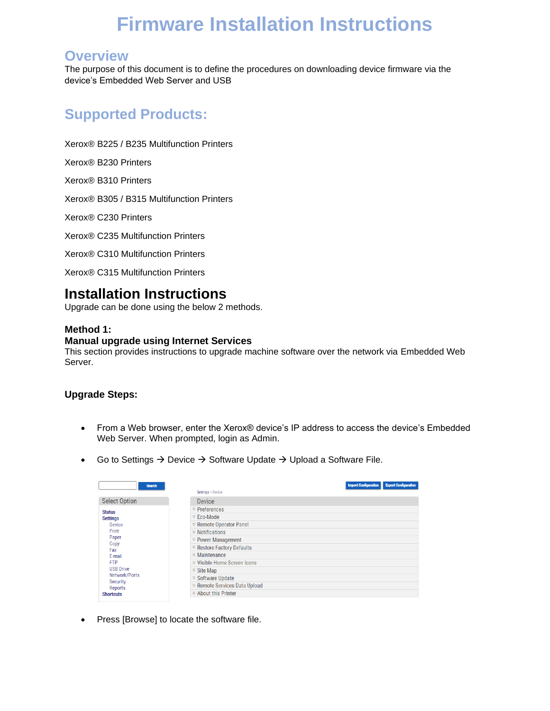# **Firmware Installation Instructions**

### **Overview**

The purpose of this document is to define the procedures on downloading device firmware via the device's Embedded Web Server and USB

# **Supported Products:**

Xerox® B225 / B235 Multifunction Printers

Xerox® B230 Printers

Xerox® B310 Printers

Xerox® B305 / B315 Multifunction Printers

Xerox® C230 Printers

Xerox® C235 Multifunction Printers

Xerox® C310 Multifunction Printers

Xerox® C315 Multifunction Printers

## **Installation Instructions**

Upgrade can be done using the below 2 methods.

#### **Method 1:**

#### **Manual upgrade using Internet Services**

This section provides instructions to upgrade machine software over the network via Embedded Web Server.

#### **Upgrade Steps:**

- From a Web browser, enter the Xerox® device's IP address to access the device's Embedded Web Server. When prompted, login as Admin.
- Go to Settings  $\rightarrow$  Device  $\rightarrow$  Software Update  $\rightarrow$  Upload a Software File.

| <b>Search</b>                                                                                               | Settings > Device                            | <b>Import Configuration</b><br><b>Export Configuration</b> |
|-------------------------------------------------------------------------------------------------------------|----------------------------------------------|------------------------------------------------------------|
| <b>Select Option</b>                                                                                        | Device                                       |                                                            |
| <b>Status</b><br><b>Settings</b><br>Device<br>Print<br>Paper                                                | $\in$ Preferences                            |                                                            |
|                                                                                                             | $\ge$ Eco-Mode                               |                                                            |
|                                                                                                             | <b><sup>≥</sup> Remote Operator Panel</b>    |                                                            |
|                                                                                                             | $\mathcal$ Notifications                     |                                                            |
|                                                                                                             | $\approx$ Power Management                   |                                                            |
| Copy<br>Fax                                                                                                 | <b><sup>≥</sup> Restore Factory Defaults</b> |                                                            |
| F-mail<br><b>FTP</b><br><b>USB Drive</b><br>Network/Ports<br><b>Security</b><br>Reports<br><b>Shortcuts</b> | $\mathbb{Z}$ Maintenance                     |                                                            |
|                                                                                                             | <b>≥ Visible Home Screen Icons</b>           |                                                            |
|                                                                                                             | $\le$ Site Map                               |                                                            |
|                                                                                                             |                                              |                                                            |
|                                                                                                             | ≥ Remote Services Data Upload                |                                                            |
|                                                                                                             | $\leq$ About this Printer                    |                                                            |

• Press [Browse] to locate the software file.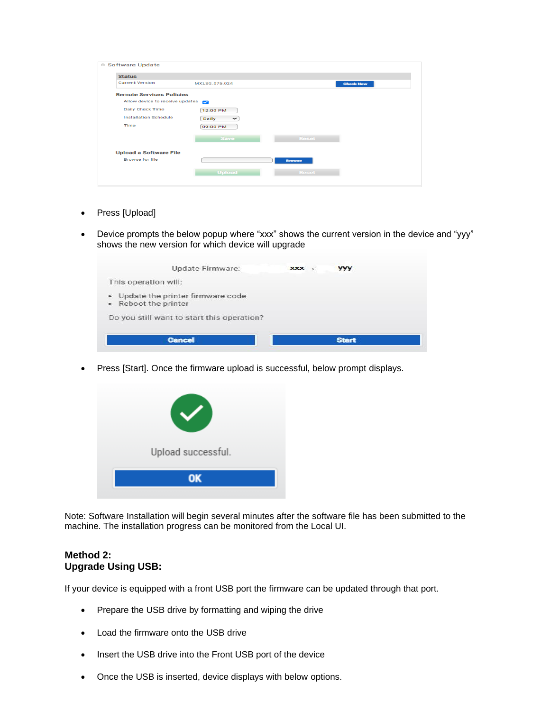| <b>Status</b>                   |                      |                  |
|---------------------------------|----------------------|------------------|
| <b>Current Version</b>          | MXI SG 075 024       | <b>Check Now</b> |
| <b>Remote Services Policies</b> |                      |                  |
| Allow device to receive updates |                      |                  |
| <b>Daily Check Time</b>         | 12:00 PM             |                  |
| <b>Installation Schedule</b>    | Daily<br>$\check{ }$ |                  |
| Time                            | 09:00 PM             |                  |
|                                 | <b>Save</b>          | Reset            |
| <b>Upload a Software File</b>   |                      |                  |
| <b>Browse for file</b>          |                      | <b>Browse</b>    |
|                                 |                      |                  |
|                                 | <b>Upload</b>        | Reset            |

- Press [Upload]
- Device prompts the below popup where "xxx" shows the current version in the device and "yyy" shows the new version for which device will upgrade

| Update Firmware:                                           | $XXX \rightarrow$ | <b>YYY</b>   |
|------------------------------------------------------------|-------------------|--------------|
| This operation will:                                       |                   |              |
| • Update the printer firmware code<br>• Reboot the printer |                   |              |
| Do you still want to start this operation?                 |                   |              |
| <b>Cancel</b>                                              |                   | <b>Start</b> |

• Press [Start]. Once the firmware upload is successful, below prompt displays.



Note: Software Installation will begin several minutes after the software file has been submitted to the machine. The installation progress can be monitored from the Local UI.

#### **Method 2: Upgrade Using USB:**

If your device is equipped with a front USB port the firmware can be updated through that port.

- Prepare the USB drive by formatting and wiping the drive
- Load the firmware onto the USB drive
- Insert the USB drive into the Front USB port of the device
- Once the USB is inserted, device displays with below options.